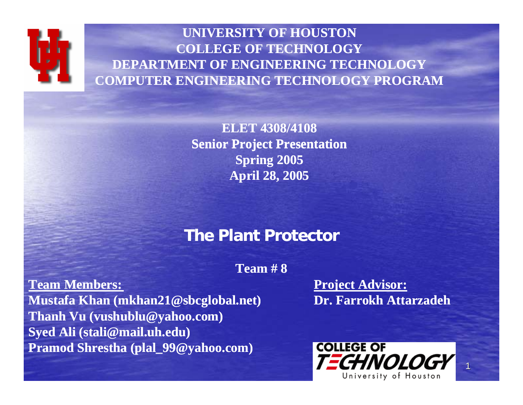

### **UNIVERSITY OF HOUSTON UNIVERSITY COLLEGE OF TECHNOLOGY DEPARTMENT OF ENGINEERING TECHNOLOGY COMPUTER ENGINEERING TECHNOLOGY PROGRAM**

**ELET 4308/4108 Senior Project Presentation Spring 2005 April 28, 2005**

### **The Plant Protector**

**Team # 8**

**Team Members:Mustafa Khan (mkhan21@sbcglobal.net) Dr. Farrokh Attarzadeh Thanh Vu (vushublu@yahoo.com) Syed Ali (stali@mail.uh.edu) Pramod Shrestha (plal\_99@yahoo.com)**

**Project Advisor:**

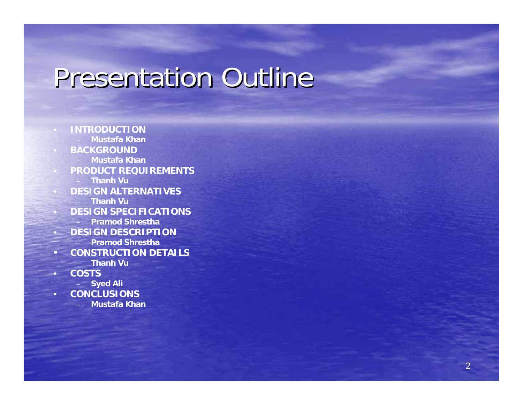## Presentation Outline

 **INTRODUCTION Mustafa KhanBACKGROUND Mustafa Khan PRODUCT REQUIREMENTS** – **Thanh Vu DESIGN ALTERNATIVES**– **Thanh Vu DESIGN SPECIFICATIONS**– **Pramod Shrestha DESIGN DESCRIPTION**– **Pramod Shrestha**• **CONSTRUCTION DETAILS**– **Thanh Vu COSTS**– **Syed Ali**  $\blacksquare$  **CONCLUSIONS**–**Mustafa Khan**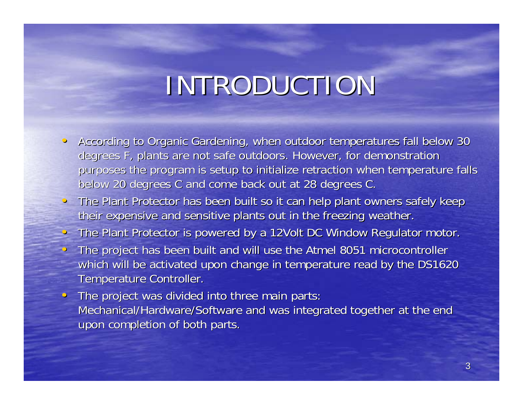## INTRODUCTION

- $\hspace{0.5pt}$ According to Organic Gardening, when outdoor temperatures fall below 30 degrees F, plants are not safe outdoors. However, for demonstration purposes the program is setup to initialize retraction when temperature falls below 20 degrees C and come back out at 28 degrees C.
- The Plant Protector has been built so it can help plant owners safely keep their expensive and sensitive plants out in the freezing weather.
- The Plant Protector is powered by a 12Volt DC Window Regulator motor.
- •The project has been built and will use the Atmel 8051 microcontroller which will be activated upon change in temperature read by the DS1620 Temperature Controller.
- The project was divided into three main parts: Mechanical/Hardware/Software and was integrated together at the end upon completion of both parts.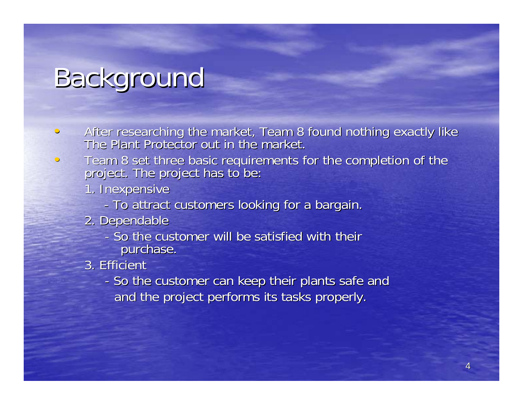## Background

- $\bigcirc$ After researching the market, Team 8 found nothing exactly like The Plant Protector out in the market.
- •Team 8 set three basic requirements for the completion of the project. The project has to be:
	- 1. Inexpensive
		- -- To attract customers looking for a bargain.
	- 2. Dependable 2. Dependable
		- So the customer will be satisfied with their purchase.
	- 3. Efficient
		- -- So the customer can keep their plants safe and and the project performs its tasks properly.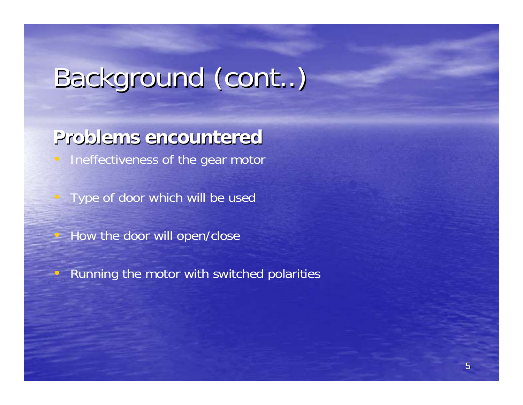## Background (cont..)

**Problems encountered Problems encountered**

• Ineffectiveness of the gear motor

Type of door which will be used

How the door will open/close

 $\Box$ 

 $\subset$ 

Running the motor with switched polarities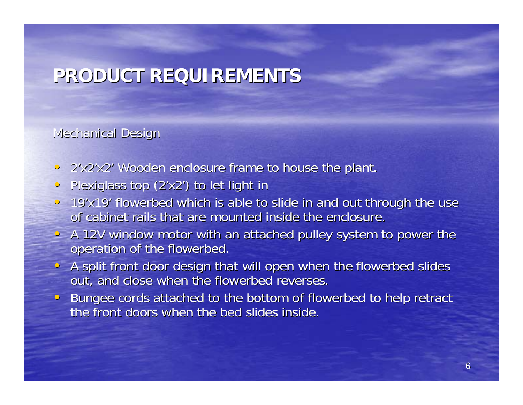### **PRODUCT REQUIREMENTS PRODUCT REQUIREMENTS**

### **Mechanical Design**

- 2'x2'x2' Wooden enclosure frame to house the plant.
- $\bullet$ Plexiglass top (2'x2') to let light in
- 19'x19' flowerbed which is able to slide in and out through the use of cabinet rails that are mounted inside the enclosure.
- A 12V window motor with an attached pulley system to power the operation of the flowerbed.
- A split front door design that will open when the flowerbed slides out, and close when the flowerbed reverses.
- $\mathbb C$ Bungee cords attached to the bottom of flowerbed to help retract the front doors when the bed slides inside.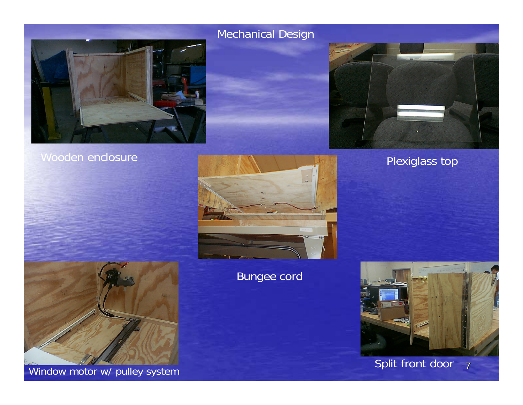

### Wooden enclosure



Mechanical Design



Plexiglass top



Window motor w/ pulley system

### Bungee cord

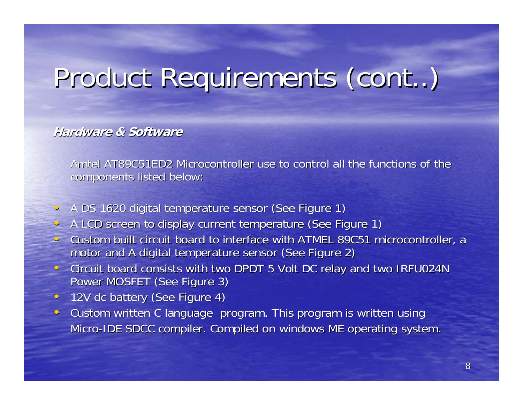## Product Requirements (cont..)

#### **Hardware & Software Hardware & Software**

Amtel AT89C51ED2 Microcontroller use to control all the functions of the components listed below: components listed below:

- A DS 1620 digital temperature sensor (See Figure 1)
- A LCD screen to display current temperature (See Figure 1)
- Custom built circuit board to interface with ATMEL 89C51 microcontroller, a motor and A digital temperature sensor (See Figure 2)
- Circuit board consists with two DPDT 5 Volt DC relay and two IRFU024N Power MOSFET (See Figure 3)
- 12V dc battery (See Figure 4)
- Custom written C language program. This program is written using Micro-IDE SDCC compiler. Compiled on windows ME operating system.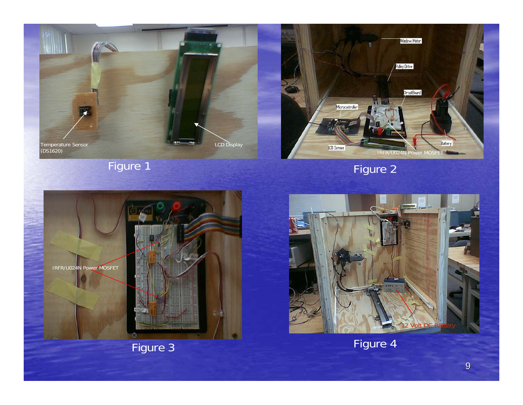





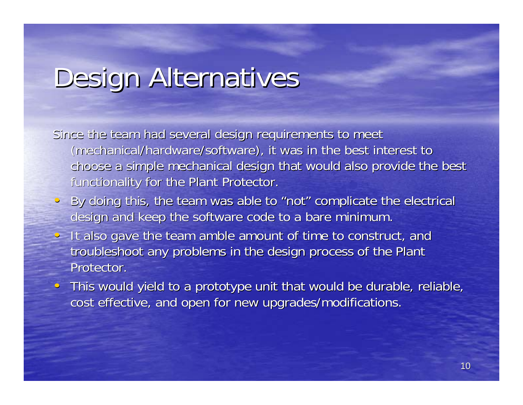## Design Alternatives

Since the team had several design requirements to meet (mechanical/hardware/software), it was in the best interest to choose a simple mechanical design that would also provide the best functionality for the Plant Protector.

- •• By doing this, the team was able to "not" complicate the electrical design and keep the software code to a bare minimum.
- $\blacktriangleright$  It also gave the team amble amount of time to construct, and troubleshoot any problems in the design process of the Plant Protector.
- This would yield to a prototype unit that would be durable, reliable, cost effective, and open for new upgrades/modifications.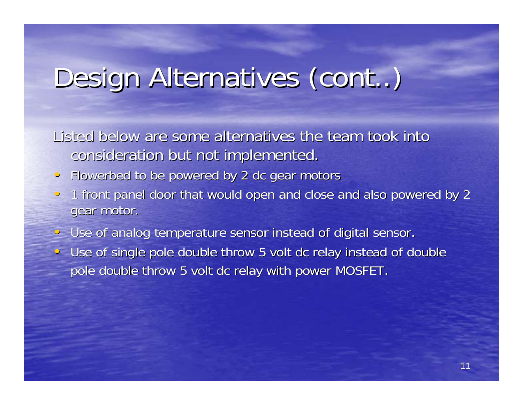## Design Alternatives (cont..)

Listed below are some alternatives the team took into consideration but not implemented.

- •Flowerbed to be powered by 2 dc gear motors
- •1 front panel door that would open and close and also powered by 2 gear motor.
- Use of analog temperature sensor instead of digital sensor.
- Use of single pole double throw 5 volt dc relay instead of double pole double throw 5 volt dc relay with power MOSFET.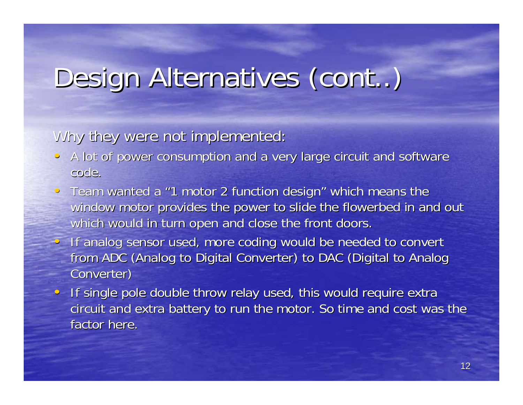## Design Alternatives (cont..)

### Why they were not implemented:

- A lot of power consumption and a very large circuit and software code.
- Team wanted a "1 motor 2 function design" which means the window motor provides the power to slide the flowerbed in and out which would in turn open and close the front doors.
- If analog sensor used, more coding would be needed to convert from ADC (Analog to Digital Converter) to DAC (Digital to Analog Converter)
- If single pole double throw relay used, this would require extra circuit and extra battery to run the motor. So time and cost was the factor here.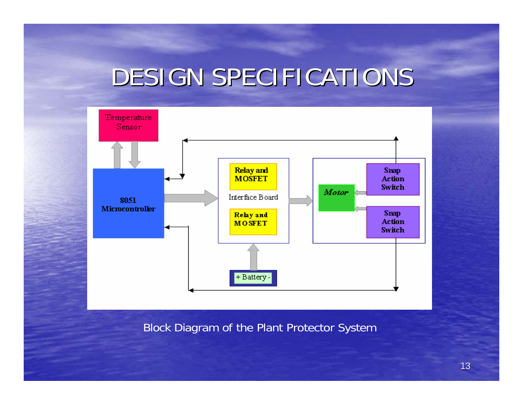### DESIGN SPECIFICATIONS



Block Diagram of the Plant Protector System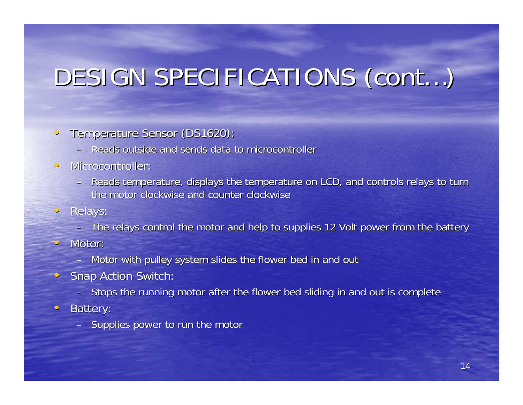## DESIGN SPECIFICATIONS (cont...)

#### $\mathbb C$ Temperature Sensor (DS1620):

 $-$  Reads outside and sends data to microcontroller

#### $\bullet$ Microcontroller:

– Reads temperature, displays the temperature on LCD, and controls relays to turn the motor clockwise and counter clockwise

#### $\subset$ Relays:

- The relays control the motor and help to supplies 12 Volt power from the battery
- $\Box$  Motor:
	- Motor with pulley system slides the flower bed in and out
- $\Box$ Snap Action Switch:
	- Stops the running motor after the flower bed sliding in and out is complete
- $\bullet$ Battery:
	- Supplies power to run the motor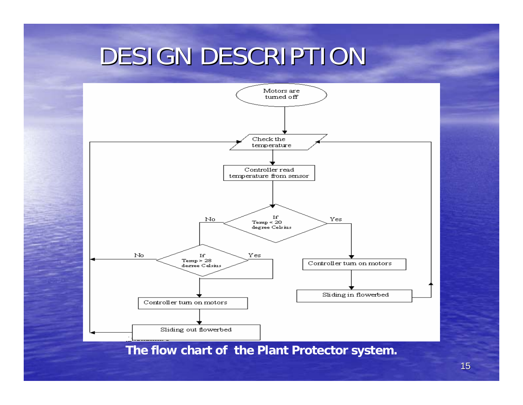### DESIGN DESCRIPTION

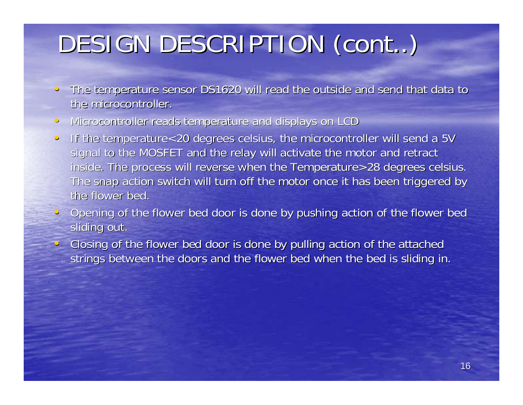## DESIGN DESCRIPTION (cont..)

- $\hspace{0.5pt}$ The temperature sensor DS1620 will read the outside and send that data to the microcontroller.
- $\bullet$ Microcontroller reads temperature and displays on LCD
- $\bullet$ If the temperature<20 degrees celsius, the microcontroller will send a 5V signal to the MOSFET and the relay will activate the motor and retract inside. The process will reverse when the Temperature>28 degrees celsius. The snap action switch will turn off the motor once it has been triggered by the flower bed.
- $\subset$ Opening of the flower bed door is done by pushing action of the flower bed sliding out.
- $\subset$ Closing of the flower bed door is done by pulling action of the attached strings between the doors and the flower bed when the bed is sliding in.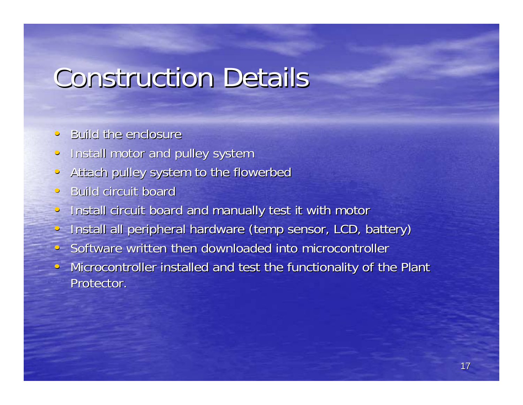## **Construction Details**

- $\mathbb{C}$ **Build the enclosure**
- $\bullet$ Install motor and pulley system
- $\bullet$ Attach pulley system to the flowerbed
- $\mathbb C$ **Build circuit board**
- Install circuit board and manually test it with motor
- $\bullet$ Install all peripheral hardware (temp sensor, LCD, battery)
- Software written then downloaded into microcontroller
- Microcontroller installed and test the functionality of the Plant Protector.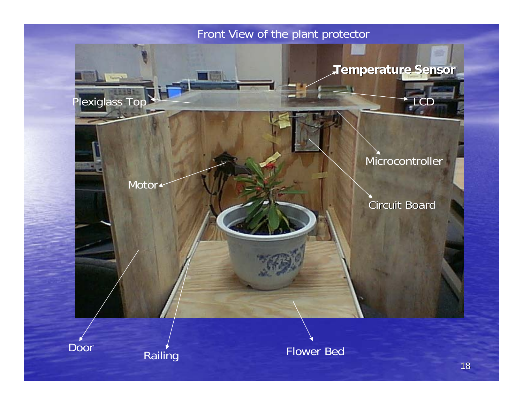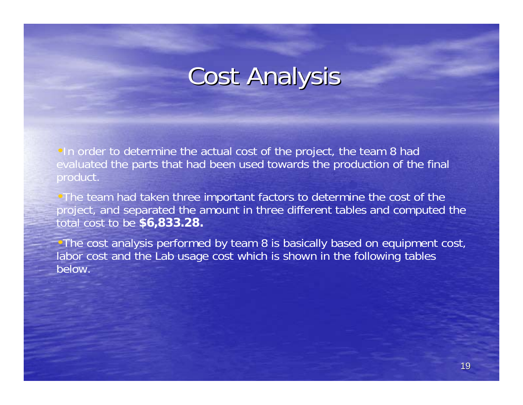### **Cost Analysis**

•In order to determine the actual cost of the project, the team 8 had evaluated the parts that had been used towards the production of the final product.

•The team had taken three important factors to determine the cost of the project, and separated the amount in three different tables and computed the total cost to be **\$6,833.28.** 

•The cost analysis performed by team 8 is basically based on equipment cost, labor cost and the Lab usage cost which is shown in the following tables below.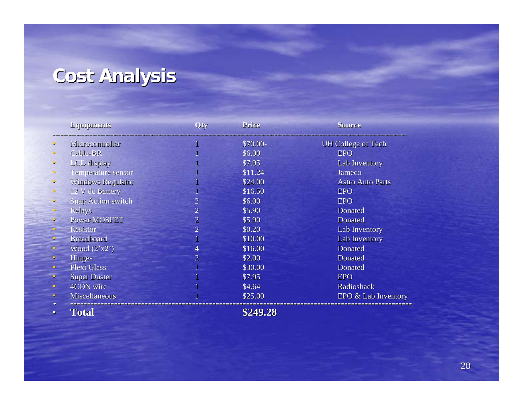### **Cost Analysis Cost Analysis**

|           | Equipments                | Qty            | Price     | <b>Source</b>             |
|-----------|---------------------------|----------------|-----------|---------------------------|
|           | Microcontroller           |                | $$70.00-$ | <b>UH College of Tech</b> |
|           | Cable-BR                  |                | \$6.00    | <b>EPO</b>                |
| $\bullet$ | LCD display               |                | \$7.95    | <b>Lab Inventory</b>      |
|           | Temperature sensor        |                | \$11.24   | Jameco                    |
|           | Windows Regulator         |                | \$24.00   | <b>Astro Auto Parts</b>   |
| $\bullet$ | 12 V dc Battery           |                | \$16.50   | <b>EPO</b>                |
|           | <b>Snap Action switch</b> | $\overline{2}$ | \$6.00    | <b>EPO</b>                |
| $\bullet$ | <b>Relays</b>             | $\overline{2}$ | \$5.90    | <b>Donated</b>            |
|           | <b>Power MOSFET</b>       | $\overline{2}$ | \$5.90    | <b>Donated</b>            |
|           | Resistor                  | $\overline{2}$ | \$0.20    | Lab Inventory             |
|           | <b>Breadboard</b>         |                | \$10.00   | Lab Inventory             |
|           | Wood $(2 x 2)$            | 4              | \$16.00   | <b>Donated</b>            |
| $\bullet$ | <b>Hinges</b>             | $\overline{2}$ | \$2.00    | <b>Donated</b>            |
| $\bullet$ | <b>Plexi Glass</b>        |                | \$30.00   | <b>Donated</b>            |
|           | <b>Super Duster</b>       |                | \$7.95    | <b>EPO</b>                |
| $\bullet$ | 4CON wire                 |                | \$4.64    | Radioshack                |
| ۰         | Miscellaneous             |                | \$25.00   | EPO & Lab Inventory       |
| $\bullet$ | Total                     |                | \$249.28  |                           |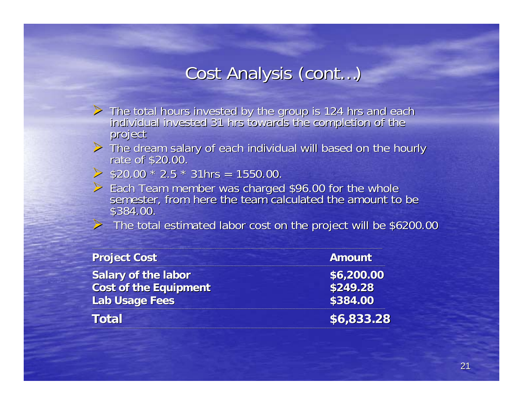### Cost Analysis (cont...)

- > The total hours invested by the group is 124 hrs and each individual invested 31 hrs towards the completion of the project
- $\triangleright$  The dream salary of each individual will based on the hourly rate of \$20.00.
- $\geq$  \$20.00  $*$  2.5  $*$  31hrs = 1550.00.
- $\geq$  Each Team member was charged \$96.00 for the whole semester, from here the team calculated the amount to be \$384.00. \$384.00.
- $\triangleright$  The total estimated labor cost on the project will be \$6200.00

| <b>Project Cost</b>          | Amount     |
|------------------------------|------------|
| <b>Salary of the labor</b>   | \$6,200.00 |
| <b>Cost of the Equipment</b> | \$249.28   |
| <b>Lab Usage Fees</b>        | \$384.00   |
| Total                        | \$6,833.28 |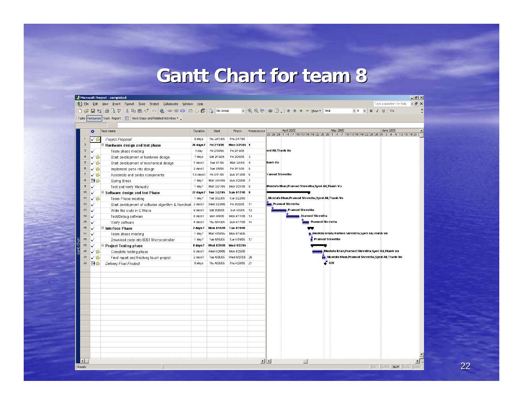### **Gantt Chart for team 8 Gantt Chart for team 8**

| $\bullet$    | Task Name                                                                 | <b>Duration</b> | Start                               | Finish                         | Predecessor |                  | April 2005<br>May 2005<br>June 2005<br>23 26 29 1 4 7 10 13 16 19 22 25 28 1 4 7 10 13 16 19 22 25 28 31 3 6 9 12 15 18 21 |
|--------------|---------------------------------------------------------------------------|-----------------|-------------------------------------|--------------------------------|-------------|------------------|----------------------------------------------------------------------------------------------------------------------------|
| √⊜           | Project Proposal                                                          | 0 days          | Thu 2/17/05                         | Thu 2/17/05                    |             |                  |                                                                                                                            |
|              | $\Box$ Hardware design and test phase                                     | 26 days?        | Fri 2/18/05                         | Mon 3/21/05 1                  |             |                  |                                                                                                                            |
| ✓            | Team phase meeting                                                        | 1 day           | Fri 2/18/05                         | Fri 2/18/05                    |             | red Ali,Thanh Vu |                                                                                                                            |
| ✓ຣ           | Start development of hardware design                                      | 7 days          | Sat 2/19/05                         | Fri 2/25/05 3                  |             |                  |                                                                                                                            |
| ✓ຣ           | Start development of mechanical design                                    | 7 days?         | Tue 3/1/05                          | Mon 3/7/05                     | $\vert$ 4   | hanh Vu          |                                                                                                                            |
| ✓◈           | Implement parts into design                                               | 3 days?         | Tue 3/8/05                          | Fri 3/11/05                    | $\vert$ 5   |                  |                                                                                                                            |
| ✓❀           | Assemble and solder components                                            | 1.5 days?       | Fri 3/11/05                         | Sun 3/13/05 6                  |             | ramod Shrestha   |                                                                                                                            |
| 田多           | Spring Break                                                              | 1 day?          | Mon 3/14/05                         | Sun 3/20/05 7                  |             |                  |                                                                                                                            |
| ✓            | Test and verify Manually                                                  | 1 day?          | Mon 3/21/05                         | Mon 3/21/05 8<br>Sun 4/17/05 9 |             |                  | Mustafa Khan,Pramod Shrestha,Syed Ali,Thanh Vu                                                                             |
|              | $\Box$ Software design and test Phase                                     | 1 day?          | 27 days? Tue 3/22/05<br>Tue 3/22/05 | Tue 3/22/05                    |             |                  | Mustafa Khan,Pramod Shrestha,Syed Ali,Thanh Vu                                                                             |
| ✓❀           | Team Phase meeting<br>Start development of software algorithm & flowcharl | 3 days?         | Wed 3/23/05                         | Fri 3/25/05                    | 11          |                  | Pramod Shrestha                                                                                                            |
|              | Write the code in C Micro                                                 | 9 days?         | Sat 3/26/05                         | Sun 4/3/05                     | 12          |                  | <b>Pramod Shrestha</b>                                                                                                     |
|              | Test/Debug software                                                       | 8 days?         | Mon 4/4/05                          | Mon 4/11/05 13                 |             |                  | <b>Leramod Shrestha</b>                                                                                                    |
|              | Verify software                                                           | 4 days?         | Thu 4/14/05                         | Sun 4/17/05 14                 |             |                  | <b>Pramod Shrestha</b>                                                                                                     |
|              | $\Box$ Interface Phase                                                    | 2 days?         | Mon 4/18/05                         | Tue 4/19/05                    |             |                  |                                                                                                                            |
| $\checkmark$ | Team phase meeting                                                        | 1 day?          | Mon 4/18/05                         | Mon 4/18/05                    |             |                  | g, Mustafa Khan,Pramod Shrestha,Syed All,Thanh Vu                                                                          |
|              | Download code into 8051 Microcontroller                                   | 1 day?          | Tue 4/19/05                         | Tue 4/19/05 17                 |             |                  | <b>Pramod Shrestha</b>                                                                                                     |
|              | $\Box$ Project Testing phase                                              |                 | 8 days?   Wed 4/20/05               | Wed 4/27/05                    |             |                  |                                                                                                                            |
| ✓❀           | Complete testing phase                                                    | 6 days?         | Wed 4/20/05                         | Mon 4/25/05                    |             |                  | Mustafa Khan,Pramod Shrestha,Syed Ali,Thanh Vu                                                                             |
| ✓ຣ           | Final report and finishing touch project                                  | 2 days?         | Tue 4/26/05                         | Wed 4/27/05 20                 |             |                  | Mustafa Khan,Pramod Shrestha,Syed Ali,Thanh Vu                                                                             |
| 田多           | Delivery Final Product                                                    | 0 days          | Thu 4/28/05                         | Thu 4/28/05 21                 |             |                  | 4/28                                                                                                                       |
|              |                                                                           |                 |                                     |                                |             |                  |                                                                                                                            |
|              |                                                                           |                 |                                     |                                |             |                  |                                                                                                                            |
|              |                                                                           |                 |                                     |                                |             |                  |                                                                                                                            |
|              |                                                                           |                 |                                     |                                |             |                  |                                                                                                                            |
|              |                                                                           |                 |                                     |                                |             |                  |                                                                                                                            |
|              |                                                                           |                 |                                     |                                |             |                  |                                                                                                                            |
|              |                                                                           |                 |                                     |                                |             |                  |                                                                                                                            |
|              |                                                                           |                 |                                     |                                |             |                  |                                                                                                                            |
|              |                                                                           |                 |                                     |                                |             |                  |                                                                                                                            |
|              |                                                                           |                 |                                     |                                |             |                  |                                                                                                                            |
|              |                                                                           |                 |                                     |                                |             |                  |                                                                                                                            |
|              |                                                                           |                 |                                     |                                |             |                  |                                                                                                                            |
|              |                                                                           |                 |                                     |                                |             |                  |                                                                                                                            |
|              |                                                                           |                 |                                     |                                |             |                  |                                                                                                                            |

22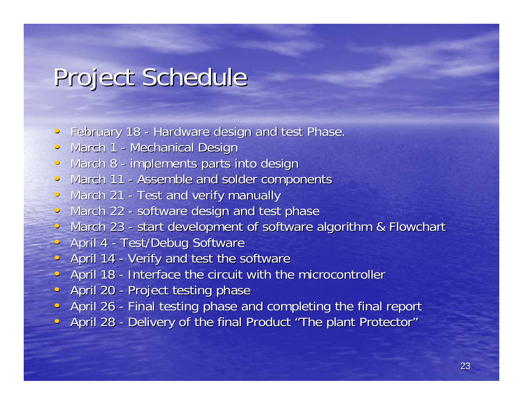### Project Schedule

- $\bigcirc$ **•** February 18 -- Hardware design and test Phase.
- March 1 -- Mechanical Design
- $\bigcirc$ • March 8 -- implements parts into design
- $\bullet$  March 11 -- Assemble and solder components
- $\bullet$  March 21 -- Test and verify manually
- $\bullet$  March 22 -- software design and test phase
- $-$  March 23 -- start development of software algorithm & Flowchart
- $\bullet$  April 4 -- Test/Debug Software
- $\bullet$  April 14 -- Verify and test the software
- April 18 - Interface the circuit with the microcontroller
- $\bullet$  April 20 -- Project testing phase
- April 26 -- Final testing phase and completing the final report
- April 28 -- Delivery of the final Product "The plant Protector"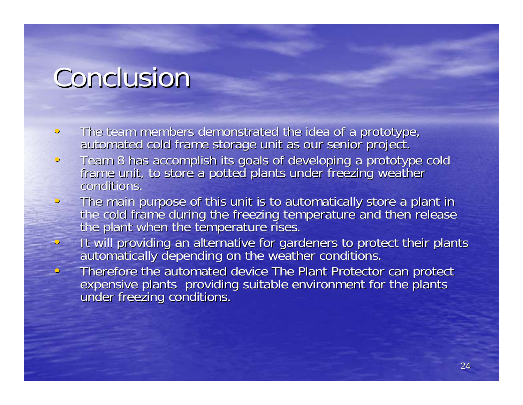## Conclusion

 $\mathbf{C}$ 

 $\, \cap \,$ 

- $\bigcirc$ The team members demonstrated the idea of a prototype, automated cold frame storage unit as our senior project.
- •Team 8 has accomplish its goals of developing a prototype cold<br>frame unit, to store a potted plants under freezing weather conditions.
- $\cap$ The main purpose of this unit is to automatically store a plant in<br>the cold frame during the freezing temperature and then release<br>the plant when the temperature rises.
	- It will providing an alternative for gardeners to protect their plants<br>automatically depending on the weather conditions.
	- Therefore the automated device The Plant Protector can protect<br>expensive plants providing suitable environment for the plants<br>under freezing conditions.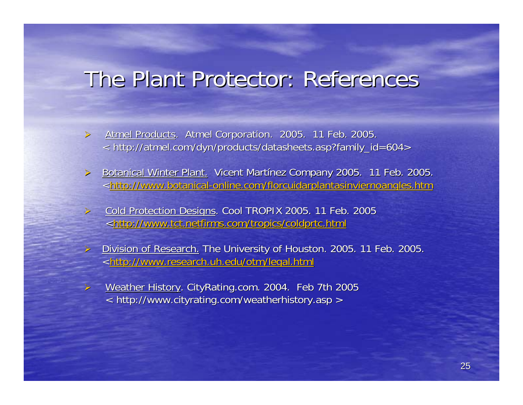### The Plant Protector: References

- ¾Atmel Products</u>. Atmel Corporation. 2005. 11 Feb. 2005. < http://atmel.com/dyn/products/datasheets.asp?family\_id=604> < http://atmel.com/dyn/products/datasheets.asp?family\_id=604>
- $\blacktriangleright$ Botanical Winter Plant. Vicent Martínez Company 2005. 11 Feb. 2005. <http://www.botanical-online.com/florcuidarplantasinviernoangles.htm
- $\triangleright$ Cold Protection Designs. Cool TROPIX 2005. 11 Feb. 2005. <http://www.tct.netfirms.com/tropics/coldprtc.html
- ¾Division of Research. The University of Houston. 2005. 11 Feb. 2005. <http://www.research.uh.edu/otm/legal.html
	- Weather History. CityRating.com. 2004. Feb 7th 2005 < http://www.cityrating.com/weatherhistory.asp > < http://www.cityrating.com/weatherhistory.asp >

¾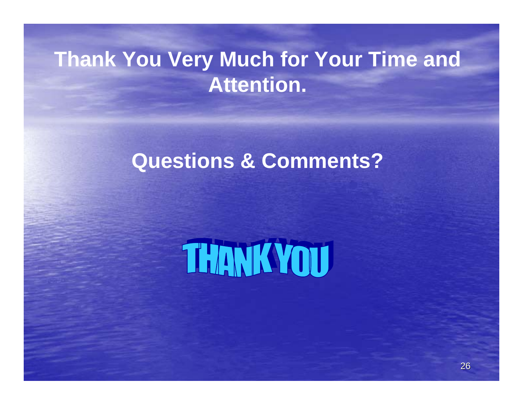### **Thank You Very Much for Your Time and Attention.**

### **Questions & Comments?**

# **THANK YOU**